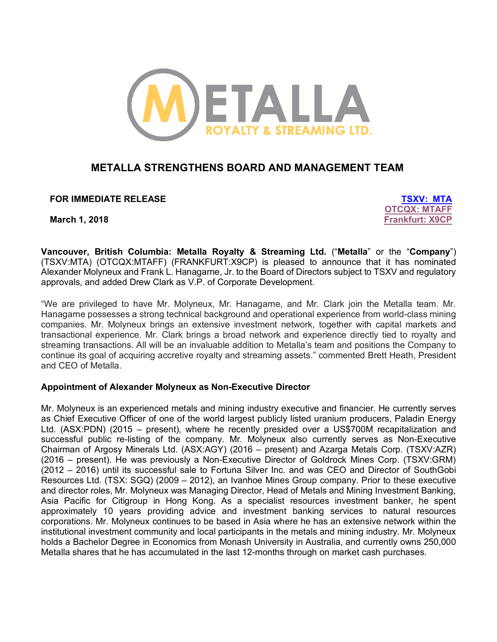

# **METALLA STRENGTHENS BOARD AND MANAGEMENT TEAM**

**FOR IMMEDIATE RELEASE TSXV: MTA**

**OTCQX: MTAFF March 1, 2018 Frankfurt: X9CP**

**Vancouver, British Columbia: Metalla Royalty & Streaming Ltd.** ("**Metalla**" or the "**Company**") (TSXV:MTA) (OTCQX:MTAFF) (FRANKFURT:X9CP) is pleased to announce that it has nominated Alexander Molyneux and Frank L. Hanagarne, Jr. to the Board of Directors subject to TSXV and regulatory approvals, and added Drew Clark as V.P. of Corporate Development.

"We are privileged to have Mr. Molyneux, Mr. Hanagarne, and Mr. Clark join the Metalla team. Mr. Hanagarne possesses a strong technical background and operational experience from world-class mining companies. Mr. Molyneux brings an extensive investment network, together with capital markets and transactional experience. Mr. Clark brings a broad network and experience directly tied to royalty and streaming transactions. All will be an invaluable addition to Metalla's team and positions the Company to continue its goal of acquiring accretive royalty and streaming assets." commented Brett Heath, President and CEO of Metalla.

#### **Appointment of Alexander Molyneux as Non-Executive Director**

Mr. Molyneux is an experienced metals and mining industry executive and financier. He currently serves as Chief Executive Officer of one of the world largest publicly listed uranium producers, Paladin Energy Ltd. (ASX:PDN) (2015 – present), where he recently presided over a US\$700M recapitalization and successful public re-listing of the company. Mr. Molyneux also currently serves as Non-Executive Chairman of Argosy Minerals Ltd. (ASX:AGY) (2016 – present) and Azarga Metals Corp. (TSXV:AZR) (2016 – present). He was previously a Non-Executive Director of Goldrock Mines Corp. (TSXV:GRM) (2012 – 2016) until its successful sale to Fortuna Silver Inc. and was CEO and Director of SouthGobi Resources Ltd. (TSX: SGQ) (2009 – 2012), an Ivanhoe Mines Group company. Prior to these executive and director roles, Mr. Molyneux was Managing Director, Head of Metals and Mining Investment Banking, Asia Pacific for Citigroup in Hong Kong. As a specialist resources investment banker, he spent approximately 10 years providing advice and investment banking services to natural resources corporations. Mr. Molyneux continues to be based in Asia where he has an extensive network within the institutional investment community and local participants in the metals and mining industry. Mr. Molyneux holds a Bachelor Degree in Economics from Monash University in Australia, and currently owns 250,000 Metalla shares that he has accumulated in the last 12-months through on market cash purchases.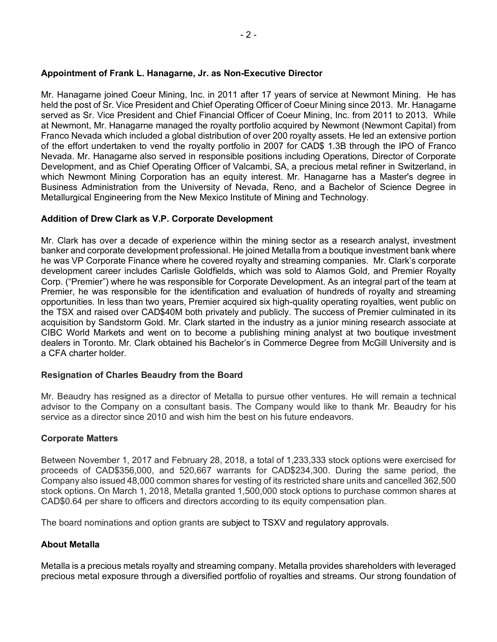#### **Appointment of Frank L. Hanagarne, Jr. as Non-Executive Director**

Mr. Hanagarne joined Coeur Mining, Inc. in 2011 after 17 years of service at Newmont Mining. He has held the post of Sr. Vice President and Chief Operating Officer of Coeur Mining since 2013. Mr. Hanagarne served as Sr. Vice President and Chief Financial Officer of Coeur Mining, Inc. from 2011 to 2013. While at Newmont, Mr. Hanagarne managed the royalty portfolio acquired by Newmont (Newmont Capital) from Franco Nevada which included a global distribution of over 200 royalty assets. He led an extensive portion of the effort undertaken to vend the royalty portfolio in 2007 for CAD\$ 1.3B through the IPO of Franco Nevada. Mr. Hanagarne also served in responsible positions including Operations, Director of Corporate Development, and as Chief Operating Officer of Valcambi, SA, a precious metal refiner in Switzerland, in which Newmont Mining Corporation has an equity interest. Mr. Hanagarne has a Master's degree in Business Administration from the University of Nevada, Reno, and a Bachelor of Science Degree in Metallurgical Engineering from the New Mexico Institute of Mining and Technology.

## **Addition of Drew Clark as V.P. Corporate Development**

Mr. Clark has over a decade of experience within the mining sector as a research analyst, investment banker and corporate development professional. He joined Metalla from a boutique investment bank where he was VP Corporate Finance where he covered royalty and streaming companies. Mr. Clark's corporate development career includes Carlisle Goldfields, which was sold to Alamos Gold, and Premier Royalty Corp. ("Premier") where he was responsible for Corporate Development. As an integral part of the team at Premier, he was responsible for the identification and evaluation of hundreds of royalty and streaming opportunities. In less than two years, Premier acquired six high-quality operating royalties, went public on the TSX and raised over CAD\$40M both privately and publicly. The success of Premier culminated in its acquisition by Sandstorm Gold. Mr. Clark started in the industry as a junior mining research associate at CIBC World Markets and went on to become a publishing mining analyst at two boutique investment dealers in Toronto. Mr. Clark obtained his Bachelor's in Commerce Degree from McGill University and is a CFA charter holder.

#### **Resignation of Charles Beaudry from the Board**

Mr. Beaudry has resigned as a director of Metalla to pursue other ventures. He will remain a technical advisor to the Company on a consultant basis. The Company would like to thank Mr. Beaudry for his service as a director since 2010 and wish him the best on his future endeavors.

#### **Corporate Matters**

Between November 1, 2017 and February 28, 2018, a total of 1,233,333 stock options were exercised for proceeds of CAD\$356,000, and 520,667 warrants for CAD\$234,300. During the same period, the Company also issued 48,000 common shares for vesting of its restricted share units and cancelled 362,500 stock options. On March 1, 2018, Metalla granted 1,500,000 stock options to purchase common shares at CAD\$0.64 per share to officers and directors according to its equity compensation plan.

The board nominations and option grants are subject to TSXV and regulatory approvals.

# **About Metalla**

Metalla is a precious metals royalty and streaming company. Metalla provides shareholders with leveraged precious metal exposure through a diversified portfolio of royalties and streams. Our strong foundation of